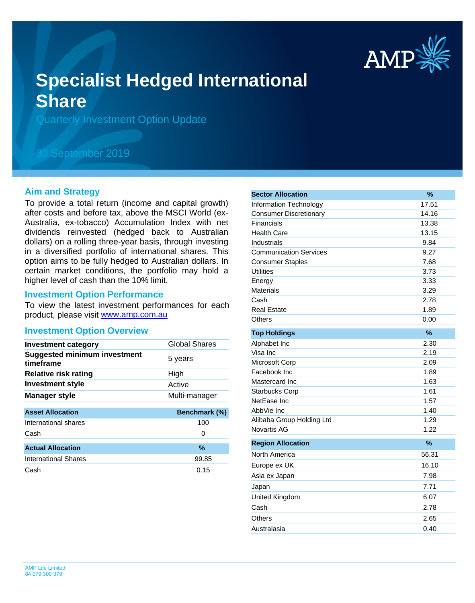

# **Specialist Hedged International Share**

Quarterly Investment Option Update

# 30 September 2019

#### **Aim and Strategy**

To provide a total return (income and capital growth) after costs and before tax, above the MSCI World (ex-Australia, ex-tobacco) Accumulation Index with net dividends reinvested (hedged back to Australian dollars) on a rolling three-year basis, through investing in a diversified portfolio of international shares. This option aims to be fully hedged to Australian dollars. In certain market conditions, the portfolio may hold a higher level of cash than the 10% limit.

#### **Investment Option Performance**

product, please visit [www.amp.com.au](https://www.amp.com.au) To view the latest investment performances for each

#### **Investment Option Overview**

| <b>Investment category</b>                       | Global Shares |
|--------------------------------------------------|---------------|
| <b>Suggested minimum investment</b><br>timeframe | 5 years       |
| Relative risk rating                             | High          |
| Investment style                                 | Active        |
| <b>Manager style</b>                             | Multi-manager |
| <b>Asset Allocation</b>                          | Benchmark (%) |
| International shares                             | 100           |
| Cash                                             | 0             |
| <b>Actual Allocation</b>                         | $\%$          |
| <b>International Shares</b>                      | 99.85         |
| Cash                                             |               |
|                                                  | 0.15          |

| <b>Sector Allocation</b>      | $\%$          |
|-------------------------------|---------------|
| Information Technology        | 17.51         |
| <b>Consumer Discretionary</b> | 14.16         |
| Financials                    | 13.38         |
| <b>Health Care</b>            | 13.15         |
| Industrials                   | 9.84          |
| <b>Communication Services</b> | 9.27          |
| <b>Consumer Staples</b>       | 7.68          |
| Utilities                     | 3.73          |
| Energy                        | 3.33          |
| Materials                     | 3.29          |
| Cash                          | 2.78          |
| <b>Real Estate</b>            | 1.89          |
| Others                        | 0.00          |
| <b>Top Holdings</b>           | %             |
| Alphabet Inc                  | 2.30          |
| Visa Inc                      | 2.19          |
| Microsoft Corp                | 2.09          |
| Facebook Inc                  | 1.89          |
| Mastercard Inc                | 1.63          |
| <b>Starbucks Corp</b>         | 1.61          |
| NetEase Inc                   | 1.57          |
| AbbVie Inc                    | 1.40          |
| Alibaba Group Holding Ltd     | 1.29          |
| <b>Novartis AG</b>            | 1.22          |
| <b>Region Allocation</b>      | $\frac{9}{6}$ |
| North America                 | 56.31         |
| Europe ex UK                  | 16.10         |
| Asia ex Japan                 | 7.98          |
| Japan                         | 7.71          |
| United Kingdom                | 6.07          |
| Cash                          | 2.78          |
| Others                        | 2.65          |
| Australasia                   | 0.40          |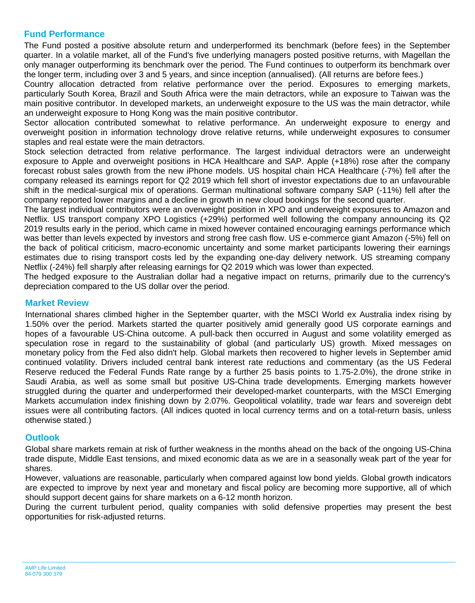### **Fund Performance**

The Fund posted a positive absolute return and underperformed its benchmark (before fees) in the September quarter. In a volatile market, all of the Fund's five underlying managers posted positive returns, with Magellan the only manager outperforming its benchmark over the period. The Fund continues to outperform its benchmark over the longer term, including over 3 and 5 years, and since inception (annualised). (All returns are before fees.)

Country allocation detracted from relative performance over the period. Exposures to emerging markets, particularly South Korea, Brazil and South Africa were the main detractors, while an exposure to Taiwan was the main positive contributor. In developed markets, an underweight exposure to the US was the main detractor, while an underweight exposure to Hong Kong was the main positive contributor.

Sector allocation contributed somewhat to relative performance. An underweight exposure to energy and overweight position in information technology drove relative returns, while underweight exposures to consumer staples and real estate were the main detractors.

Stock selection detracted from relative performance. The largest individual detractors were an underweight exposure to Apple and overweight positions in HCA Healthcare and SAP. Apple (+18%) rose after the company forecast robust sales growth from the new iPhone models. US hospital chain HCA Healthcare (-7%) fell after the company released its earnings report for Q2 2019 which fell short of investor expectations due to an unfavourable shift in the medical-surgical mix of operations. German multinational software company SAP (-11%) fell after the company reported lower margins and a decline in growth in new cloud bookings for the second quarter.

The largest individual contributors were an overweight position in XPO and underweight exposures to Amazon and Netflix. US transport company XPO Logistics (+29%) performed well following the company announcing its Q2 2019 results early in the period, which came in mixed however contained encouraging earnings performance which was better than levels expected by investors and strong free cash flow. US e-commerce giant Amazon (-5%) fell on the back of political criticism, macro-economic uncertainty and some market participants lowering their earnings estimates due to rising transport costs led by the expanding one-day delivery network. US streaming company Netflix (-24%) fell sharply after releasing earnings for Q2 2019 which was lower than expected.

The hedged exposure to the Australian dollar had a negative impact on returns, primarily due to the currency's depreciation compared to the US dollar over the period.

#### **Market Review**

International shares climbed higher in the September quarter, with the MSCI World ex Australia index rising by 1.50% over the period. Markets started the quarter positively amid generally good US corporate earnings and hopes of a favourable US-China outcome. A pull-back then occurred in August and some volatility emerged as speculation rose in regard to the sustainability of global (and particularly US) growth. Mixed messages on monetary policy from the Fed also didn't help. Global markets then recovered to higher levels in September amid continued volatility. Drivers included central bank interest rate reductions and commentary (as the US Federal Reserve reduced the Federal Funds Rate range by a further 25 basis points to 1.75-2.0%), the drone strike in Saudi Arabia, as well as some small but positive US-China trade developments. Emerging markets however struggled during the quarter and underperformed their developed-market counterparts, with the MSCI Emerging Markets accumulation index finishing down by 2.07%. Geopolitical volatility, trade war fears and sovereign debt issues were all contributing factors. (All indices quoted in local currency terms and on a total-return basis, unless otherwise stated.)

#### **Outlook**

Global share markets remain at risk of further weakness in the months ahead on the back of the ongoing US-China trade dispute, Middle East tensions, and mixed economic data as we are in a seasonally weak part of the year for shares.

However, valuations are reasonable, particularly when compared against low bond yields. Global growth indicators are expected to improve by next year and monetary and fiscal policy are becoming more supportive, all of which should support decent gains for share markets on a 6-12 month horizon.

During the current turbulent period, quality companies with solid defensive properties may present the best opportunities for risk-adjusted returns.